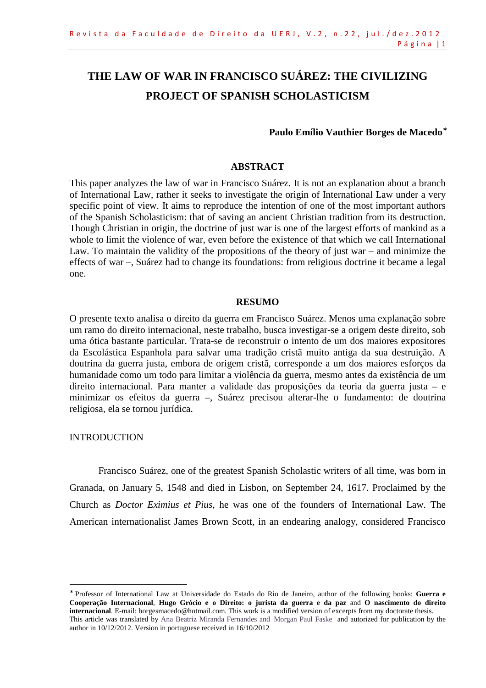# **THE LAW OF WAR IN FRANCISCO SUÁREZ: THE CIVILIZING PROJECT OF SPANISH SCHOLASTICISM**

#### **Paulo Emílio Vauthier Borges de Macedo**<sup>∗</sup>

## **ABSTRACT**

This paper analyzes the law of war in Francisco Suárez. It is not an explanation about a branch of International Law, rather it seeks to investigate the origin of International Law under a very specific point of view. It aims to reproduce the intention of one of the most important authors of the Spanish Scholasticism: that of saving an ancient Christian tradition from its destruction. Though Christian in origin, the doctrine of just war is one of the largest efforts of mankind as a whole to limit the violence of war, even before the existence of that which we call International Law. To maintain the validity of the propositions of the theory of just war – and minimize the effects of war –, Suárez had to change its foundations: from religious doctrine it became a legal one.

#### **RESUMO**

O presente texto analisa o direito da guerra em Francisco Suárez. Menos uma explanação sobre um ramo do direito internacional, neste trabalho, busca investigar-se a origem deste direito, sob uma ótica bastante particular. Trata-se de reconstruir o intento de um dos maiores expositores da Escolástica Espanhola para salvar uma tradição cristã muito antiga da sua destruição. A doutrina da guerra justa, embora de origem cristã, corresponde a um dos maiores esforços da humanidade como um todo para limitar a violência da guerra, mesmo antes da existência de um direito internacional. Para manter a validade das proposições da teoria da guerra justa – e minimizar os efeitos da guerra –, Suárez precisou alterar-lhe o fundamento: de doutrina religiosa, ela se tornou jurídica.

### INTRODUCTION

 $\overline{a}$ 

 Francisco Suárez, one of the greatest Spanish Scholastic writers of all time, was born in Granada, on January 5, 1548 and died in Lisbon, on September 24, 1617. Proclaimed by the Church as *Doctor Eximius et Pius*, he was one of the founders of International Law. The American internationalist James Brown Scott, in an endearing analogy, considered Francisco

<sup>∗</sup> Professor of International Law at Universidade do Estado do Rio de Janeiro, author of the following books: **Guerra e Cooperação Internacional**, **Hugo Grócio e o Direito: o jurista da guerra e da paz** and **O nascimento do direito internacional**. E-mail: borgesmacedo@hotmail.com. This work is a modified version of excerpts from my doctorate thesis. This article was translated by Ana Beatriz Miranda Fernandes and Morgan Paul Faske and autorized for publication by the author in 10/12/2012. Version in portuguese received in 16/10/2012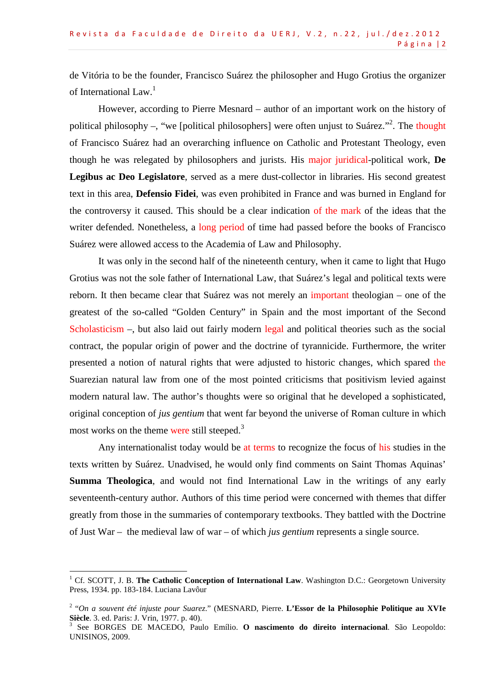de Vitória to be the founder, Francisco Suárez the philosopher and Hugo Grotius the organizer of International Law.<sup>1</sup>

 However, according to Pierre Mesnard – author of an important work on the history of political philosophy –, "we [political philosophers] were often unjust to Suárez."<sup>2</sup>. The thought of Francisco Suárez had an overarching influence on Catholic and Protestant Theology, even though he was relegated by philosophers and jurists. His major juridical-political work, **De Legibus ac Deo Legislatore**, served as a mere dust-collector in libraries. His second greatest text in this area, **Defensio Fidei**, was even prohibited in France and was burned in England for the controversy it caused. This should be a clear indication of the mark of the ideas that the writer defended. Nonetheless, a long period of time had passed before the books of Francisco Suárez were allowed access to the Academia of Law and Philosophy.

 It was only in the second half of the nineteenth century, when it came to light that Hugo Grotius was not the sole father of International Law, that Suárez's legal and political texts were reborn. It then became clear that Suárez was not merely an important theologian – one of the greatest of the so-called "Golden Century" in Spain and the most important of the Second Scholasticism –, but also laid out fairly modern legal and political theories such as the social contract, the popular origin of power and the doctrine of tyrannicide. Furthermore, the writer presented a notion of natural rights that were adjusted to historic changes, which spared the Suarezian natural law from one of the most pointed criticisms that positivism levied against modern natural law. The author's thoughts were so original that he developed a sophisticated, original conception of *jus gentium* that went far beyond the universe of Roman culture in which most works on the theme were still steeped.<sup>3</sup>

 Any internationalist today would be at terms to recognize the focus of his studies in the texts written by Suárez. Unadvised, he would only find comments on Saint Thomas Aquinas' **Summa Theologica**, and would not find International Law in the writings of any early seventeenth-century author. Authors of this time period were concerned with themes that differ greatly from those in the summaries of contemporary textbooks. They battled with the Doctrine of Just War – the medieval law of war – of which *jus gentium* represents a single source.

<sup>&</sup>lt;sup>1</sup> Cf. SCOTT, J. B. The Catholic Conception of International Law. Washington D.C.: Georgetown University Press, 1934. pp. 183-184. Luciana Lavôur

<sup>2</sup> "*On a souvent été injuste pour Suarez*." (MESNARD, Pierre. **L'Essor de la Philosophie Politique au XVIe Siècle**. 3. ed. Paris: J. Vrin, 1977. p. 40).

<sup>3</sup> See BORGES DE MACEDO, Paulo Emílio. **O nascimento do direito internacional**. São Leopoldo: UNISINOS, 2009.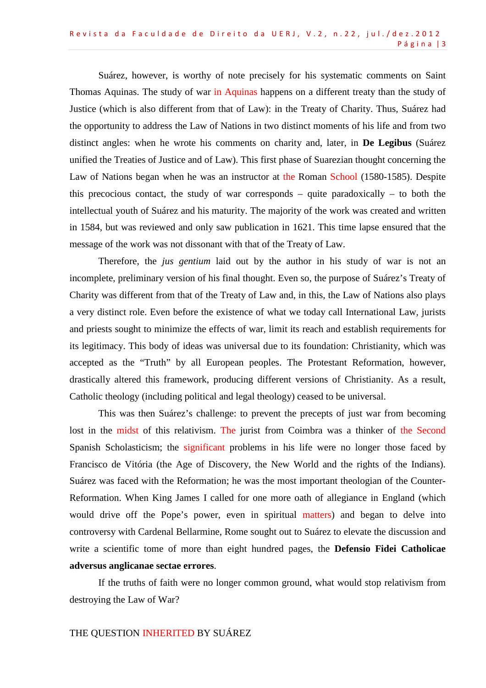Suárez, however, is worthy of note precisely for his systematic comments on Saint Thomas Aquinas. The study of war in Aquinas happens on a different treaty than the study of Justice (which is also different from that of Law): in the Treaty of Charity. Thus, Suárez had the opportunity to address the Law of Nations in two distinct moments of his life and from two distinct angles: when he wrote his comments on charity and, later, in **De Legibus** (Suárez unified the Treaties of Justice and of Law). This first phase of Suarezian thought concerning the Law of Nations began when he was an instructor at the Roman School (1580-1585). Despite this precocious contact, the study of war corresponds – quite paradoxically – to both the intellectual youth of Suárez and his maturity. The majority of the work was created and written in 1584, but was reviewed and only saw publication in 1621. This time lapse ensured that the message of the work was not dissonant with that of the Treaty of Law.

 Therefore, the *jus gentium* laid out by the author in his study of war is not an incomplete, preliminary version of his final thought. Even so, the purpose of Suárez's Treaty of Charity was different from that of the Treaty of Law and, in this, the Law of Nations also plays a very distinct role. Even before the existence of what we today call International Law, jurists and priests sought to minimize the effects of war, limit its reach and establish requirements for its legitimacy. This body of ideas was universal due to its foundation: Christianity, which was accepted as the "Truth" by all European peoples. The Protestant Reformation, however, drastically altered this framework, producing different versions of Christianity. As a result, Catholic theology (including political and legal theology) ceased to be universal.

 This was then Suárez's challenge: to prevent the precepts of just war from becoming lost in the midst of this relativism. The jurist from Coimbra was a thinker of the Second Spanish Scholasticism; the significant problems in his life were no longer those faced by Francisco de Vitória (the Age of Discovery, the New World and the rights of the Indians). Suárez was faced with the Reformation; he was the most important theologian of the Counter-Reformation. When King James I called for one more oath of allegiance in England (which would drive off the Pope's power, even in spiritual matters) and began to delve into controversy with Cardenal Bellarmine, Rome sought out to Suárez to elevate the discussion and write a scientific tome of more than eight hundred pages, the **Defensio Fidei Catholicae adversus anglicanae sectae errores**.

 If the truths of faith were no longer common ground, what would stop relativism from destroying the Law of War?

# THE QUESTION INHERITED BY SUÁREZ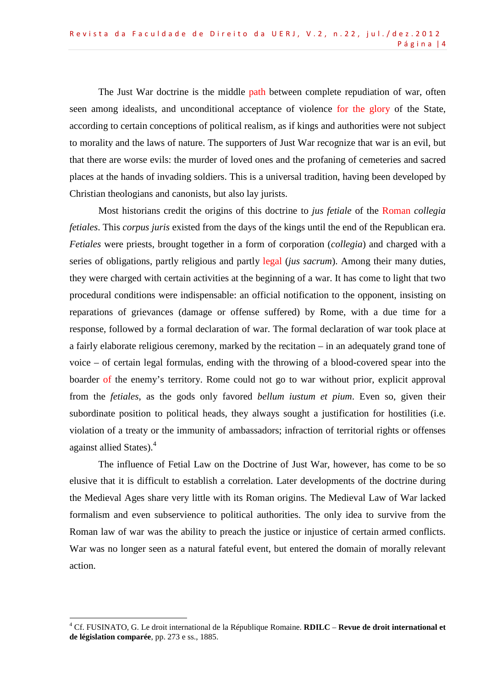The Just War doctrine is the middle path between complete repudiation of war, often seen among idealists, and unconditional acceptance of violence for the glory of the State, according to certain conceptions of political realism, as if kings and authorities were not subject to morality and the laws of nature. The supporters of Just War recognize that war is an evil, but that there are worse evils: the murder of loved ones and the profaning of cemeteries and sacred places at the hands of invading soldiers. This is a universal tradition, having been developed by Christian theologians and canonists, but also lay jurists.

 Most historians credit the origins of this doctrine to *jus fetiale* of the Roman *collegia fetiales*. This *corpus juris* existed from the days of the kings until the end of the Republican era. *Fetiales* were priests, brought together in a form of corporation (*collegia*) and charged with a series of obligations, partly religious and partly legal (*jus sacrum*). Among their many duties, they were charged with certain activities at the beginning of a war. It has come to light that two procedural conditions were indispensable: an official notification to the opponent, insisting on reparations of grievances (damage or offense suffered) by Rome, with a due time for a response, followed by a formal declaration of war. The formal declaration of war took place at a fairly elaborate religious ceremony, marked by the recitation – in an adequately grand tone of voice – of certain legal formulas, ending with the throwing of a blood-covered spear into the boarder of the enemy's territory. Rome could not go to war without prior, explicit approval from the *fetiales*, as the gods only favored *bellum iustum et pium*. Even so, given their subordinate position to political heads, they always sought a justification for hostilities (i.e. violation of a treaty or the immunity of ambassadors; infraction of territorial rights or offenses against allied States). $4$ 

 The influence of Fetial Law on the Doctrine of Just War, however, has come to be so elusive that it is difficult to establish a correlation. Later developments of the doctrine during the Medieval Ages share very little with its Roman origins. The Medieval Law of War lacked formalism and even subservience to political authorities. The only idea to survive from the Roman law of war was the ability to preach the justice or injustice of certain armed conflicts. War was no longer seen as a natural fateful event, but entered the domain of morally relevant action.

<sup>4</sup> Cf. FUSINATO, G. Le droit international de la République Romaine. **RDILC** – **Revue de droit international et de législation comparée**, pp. 273 e ss., 1885.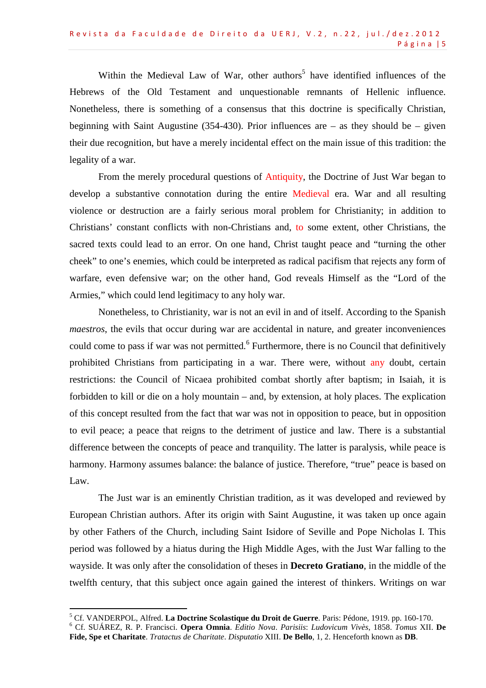Within the Medieval Law of War, other authors<sup>5</sup> have identified influences of the Hebrews of the Old Testament and unquestionable remnants of Hellenic influence. Nonetheless, there is something of a consensus that this doctrine is specifically Christian, beginning with Saint Augustine (354-430). Prior influences are  $-$  as they should be  $-$  given their due recognition, but have a merely incidental effect on the main issue of this tradition: the legality of a war.

 From the merely procedural questions of Antiquity, the Doctrine of Just War began to develop a substantive connotation during the entire Medieval era. War and all resulting violence or destruction are a fairly serious moral problem for Christianity; in addition to Christians' constant conflicts with non-Christians and, to some extent, other Christians, the sacred texts could lead to an error. On one hand, Christ taught peace and "turning the other cheek" to one's enemies, which could be interpreted as radical pacifism that rejects any form of warfare, even defensive war; on the other hand, God reveals Himself as the "Lord of the Armies," which could lend legitimacy to any holy war.

 Nonetheless, to Christianity, war is not an evil in and of itself. According to the Spanish *maestros*, the evils that occur during war are accidental in nature, and greater inconveniences could come to pass if war was not permitted.<sup>6</sup> Furthermore, there is no Council that definitively prohibited Christians from participating in a war. There were, without any doubt, certain restrictions: the Council of Nicaea prohibited combat shortly after baptism; in Isaiah, it is forbidden to kill or die on a holy mountain – and, by extension, at holy places. The explication of this concept resulted from the fact that war was not in opposition to peace, but in opposition to evil peace; a peace that reigns to the detriment of justice and law. There is a substantial difference between the concepts of peace and tranquility. The latter is paralysis, while peace is harmony. Harmony assumes balance: the balance of justice. Therefore, "true" peace is based on Law.

 The Just war is an eminently Christian tradition, as it was developed and reviewed by European Christian authors. After its origin with Saint Augustine, it was taken up once again by other Fathers of the Church, including Saint Isidore of Seville and Pope Nicholas I. This period was followed by a hiatus during the High Middle Ages, with the Just War falling to the wayside. It was only after the consolidation of theses in **Decreto Gratiano**, in the middle of the twelfth century, that this subject once again gained the interest of thinkers. Writings on war

 5 Cf. VANDERPOL, Alfred. **La Doctrine Scolastique du Droit de Guerre**. Paris: Pédone, 1919. pp. 160-170.

<sup>6</sup> Cf. SUÁREZ, R. P. Francisci. **Opera Omnia**. *Editio Nova*. *Parisiis*: *Ludovicum Vivès*, 1858. *Tomus* XII. **De Fide, Spe et Charitate**. *Tratactus de Charitate*. *Disputatio* XIII. **De Bello**, 1, 2. Henceforth known as **DB**.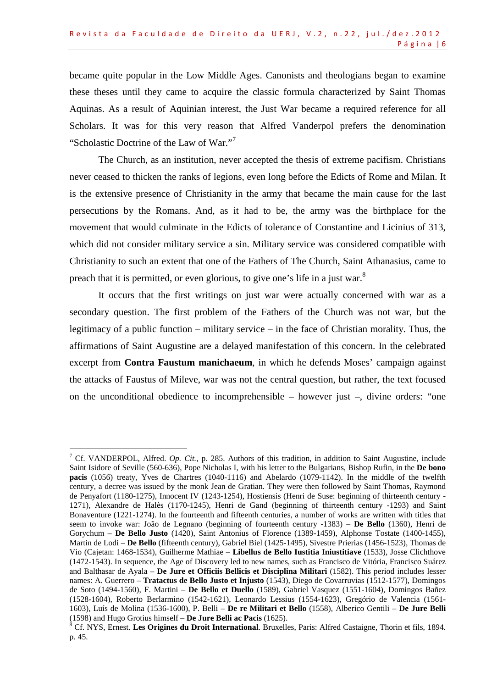became quite popular in the Low Middle Ages. Canonists and theologians began to examine these theses until they came to acquire the classic formula characterized by Saint Thomas Aquinas. As a result of Aquinian interest, the Just War became a required reference for all Scholars. It was for this very reason that Alfred Vanderpol prefers the denomination "Scholastic Doctrine of the Law of War."<sup>7</sup>

 The Church, as an institution, never accepted the thesis of extreme pacifism. Christians never ceased to thicken the ranks of legions, even long before the Edicts of Rome and Milan. It is the extensive presence of Christianity in the army that became the main cause for the last persecutions by the Romans. And, as it had to be, the army was the birthplace for the movement that would culminate in the Edicts of tolerance of Constantine and Licinius of 313, which did not consider military service a sin. Military service was considered compatible with Christianity to such an extent that one of the Fathers of The Church, Saint Athanasius, came to preach that it is permitted, or even glorious, to give one's life in a just war.<sup>8</sup>

 It occurs that the first writings on just war were actually concerned with war as a secondary question. The first problem of the Fathers of the Church was not war, but the legitimacy of a public function – military service – in the face of Christian morality. Thus, the affirmations of Saint Augustine are a delayed manifestation of this concern. In the celebrated excerpt from **Contra Faustum manichaeum**, in which he defends Moses' campaign against the attacks of Faustus of Mileve, war was not the central question, but rather, the text focused on the unconditional obedience to incomprehensible – however just –, divine orders: "one

<sup>&</sup>lt;sup>7</sup> Cf. VANDERPOL, Alfred. *Op. Cit.*, p. 285. Authors of this tradition, in addition to Saint Augustine, include Saint Isidore of Seville (560-636), Pope Nicholas I, with his letter to the Bulgarians, Bishop Rufin, in the **De bono pacis** (1056) treaty, Yves de Chartres (1040-1116) and Abelardo (1079-1142). In the middle of the twelfth century, a decree was issued by the monk Jean de Gratian. They were then followed by Saint Thomas, Raymond de Penyafort (1180-1275), Innocent IV (1243-1254), Hostiensis (Henri de Suse: beginning of thirteenth century - 1271), Alexandre de Halès (1170-1245), Henri de Gand (beginning of thirteenth century -1293) and Saint Bonaventure (1221-1274). In the fourteenth and fifteenth centuries, a number of works are written with titles that seem to invoke war: João de Legnano (beginning of fourteenth century -1383) – **De Bello** (1360), Henri de Gorychum – **De Bello Justo** (1420), Saint Antonius of Florence (1389-1459), Alphonse Tostate (1400-1455), Martin de Lodi – **De Bello** (fifteenth century), Gabriel Biel (1425-1495), Sivestre Prierias (1456-1523), Thomas de Vio (Cajetan: 1468-1534), Guilherme Mathiae – **Libellus de Bello Iustitia Iniustitiave** (1533), Josse Clichthove (1472-1543). In sequence, the Age of Discovery led to new names, such as Francisco de Vitória, Francisco Suárez and Balthasar de Ayala – **De Jure et Officiis Bellicis et Disciplina Militari** (1582). This period includes lesser names: A. Guerrero – **Tratactus de Bello Justo et Injusto** (1543), Diego de Covarruvias (1512-1577), Domingos de Soto (1494-1560), F. Martini – **De Bello et Duello** (1589), Gabriel Vasquez (1551-1604), Domingos Bañez (1528-1604), Roberto Berlarmino (1542-1621), Leonardo Lessius (1554-1623), Gregório de Valencia (1561- 1603), Luís de Molina (1536-1600), P. Belli – **De re Militari et Bello** (1558), Alberico Gentili – **De Jure Belli** (1598) and Hugo Grotius himself – **De Jure Belli ac Pacis** (1625).

<sup>8</sup> Cf. NYS, Ernest. **Les Origines du Droit International**. Bruxelles, Paris: Alfred Castaigne, Thorin et fils, 1894. p. 45.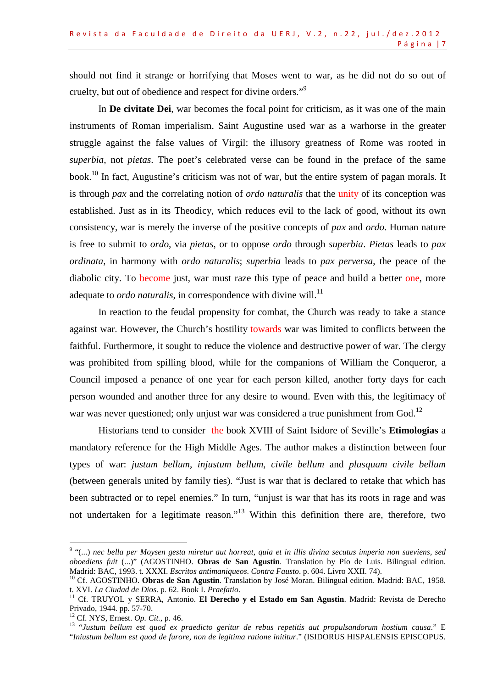should not find it strange or horrifying that Moses went to war, as he did not do so out of cruelty, but out of obedience and respect for divine orders."<sup>9</sup>

 In **De civitate Dei**, war becomes the focal point for criticism, as it was one of the main instruments of Roman imperialism. Saint Augustine used war as a warhorse in the greater struggle against the false values of Virgil: the illusory greatness of Rome was rooted in *superbia*, not *pietas*. The poet's celebrated verse can be found in the preface of the same book.<sup>10</sup> In fact, Augustine's criticism was not of war, but the entire system of pagan morals. It is through *pax* and the correlating notion of *ordo naturalis* that the unity of its conception was established. Just as in its Theodicy, which reduces evil to the lack of good, without its own consistency, war is merely the inverse of the positive concepts of *pax* and *ordo*. Human nature is free to submit to *ordo*, via *pietas*, or to oppose *ordo* through *superbia*. *Pietas* leads to *pax ordinata*, in harmony with *ordo naturalis*; *superbia* leads to *pax perversa*, the peace of the diabolic city. To become just, war must raze this type of peace and build a better one, more adequate to *ordo naturalis*, in correspondence with divine will.<sup>11</sup>

 In reaction to the feudal propensity for combat, the Church was ready to take a stance against war. However, the Church's hostility towards war was limited to conflicts between the faithful. Furthermore, it sought to reduce the violence and destructive power of war. The clergy was prohibited from spilling blood, while for the companions of William the Conqueror, a Council imposed a penance of one year for each person killed, another forty days for each person wounded and another three for any desire to wound. Even with this, the legitimacy of war was never questioned; only unjust war was considered a true punishment from God.<sup>12</sup>

 Historians tend to consider the book XVIII of Saint Isidore of Seville's **Etimologias** a mandatory reference for the High Middle Ages. The author makes a distinction between four types of war: *justum bellum*, *injustum bellum*, *civile bellum* and *plusquam civile bellum* (between generals united by family ties). "Just is war that is declared to retake that which has been subtracted or to repel enemies." In turn, "unjust is war that has its roots in rage and was not undertaken for a legitimate reason."<sup>13</sup> Within this definition there are, therefore, two

<sup>9</sup> "(...) *nec bella per Moysen gesta miretur aut horreat, quia et in illis divina secutus imperia non saeviens, sed oboediens fuit* (...)" (AGOSTINHO. **Obras de San Agustin**. Translation by Pío de Luis. Bilingual edition. Madrid: BAC, 1993. t. XXXI. *Escritos antimaniqueos*. *Contra Fausto*. p. 604. Livro XXII. 74).

<sup>&</sup>lt;sup>10</sup> Cf. AGOSTINHO. **Obras de San Agustin**. Translation by José Moran. Bilingual edition. Madrid: BAC, 1958. t. XVI. *La Ciudad de Dios*. p. 62. Book I. *Praefatio*.

<sup>11</sup> Cf. TRUYOL y SERRA, Antonio. **El Derecho y el Estado em San Agustin**. Madrid: Revista de Derecho Privado, 1944. pp. 57-70.

<sup>12</sup> Cf. NYS, Ernest. *Op. Cit.*, p. 46.

<sup>13</sup> "*Justum bellum est quod ex praedicto geritur de rebus repetitis aut propulsandorum hostium causa*." E "*Iniustum bellum est quod de furore, non de legitima ratione inititur*." (ISIDORUS HISPALENSIS EPISCOPUS.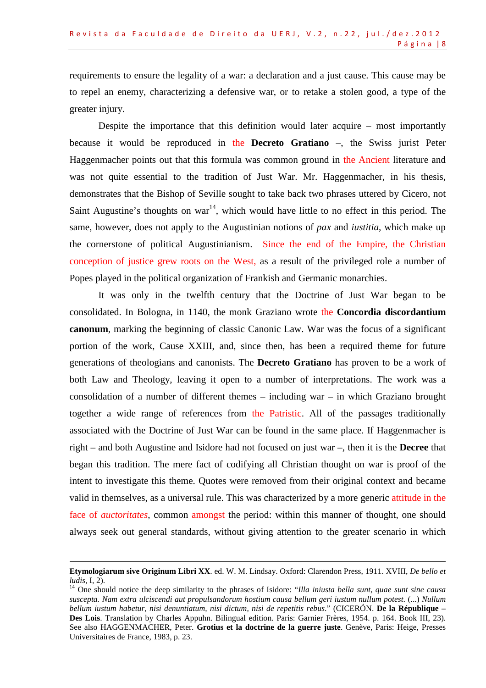requirements to ensure the legality of a war: a declaration and a just cause. This cause may be to repel an enemy, characterizing a defensive war, or to retake a stolen good, a type of the greater injury.

 Despite the importance that this definition would later acquire – most importantly because it would be reproduced in the **Decreto Gratiano** –, the Swiss jurist Peter Haggenmacher points out that this formula was common ground in the Ancient literature and was not quite essential to the tradition of Just War. Mr. Haggenmacher, in his thesis, demonstrates that the Bishop of Seville sought to take back two phrases uttered by Cicero, not Saint Augustine's thoughts on war<sup>14</sup>, which would have little to no effect in this period. The same, however, does not apply to the Augustinian notions of *pax* and *iustitia*, which make up the cornerstone of political Augustinianism. Since the end of the Empire, the Christian conception of justice grew roots on the West, as a result of the privileged role a number of Popes played in the political organization of Frankish and Germanic monarchies.

 It was only in the twelfth century that the Doctrine of Just War began to be consolidated. In Bologna, in 1140, the monk Graziano wrote the **Concordia discordantium canonum**, marking the beginning of classic Canonic Law. War was the focus of a significant portion of the work, Cause XXIII, and, since then, has been a required theme for future generations of theologians and canonists. The **Decreto Gratiano** has proven to be a work of both Law and Theology, leaving it open to a number of interpretations. The work was a consolidation of a number of different themes – including war – in which Graziano brought together a wide range of references from the Patristic. All of the passages traditionally associated with the Doctrine of Just War can be found in the same place. If Haggenmacher is right – and both Augustine and Isidore had not focused on just war –, then it is the **Decree** that began this tradition. The mere fact of codifying all Christian thought on war is proof of the intent to investigate this theme. Quotes were removed from their original context and became valid in themselves, as a universal rule. This was characterized by a more generic attitude in the face of *auctoritates*, common amongst the period: within this manner of thought, one should always seek out general standards, without giving attention to the greater scenario in which

<u>.</u>

**Etymologiarum sive Originum Libri XX**. ed. W. M. Lindsay. Oxford: Clarendon Press, 1911. XVIII, *De bello et ludis*, I, 2).

<sup>14</sup> One should notice the deep similarity to the phrases of Isidore: "*Illa iniusta bella sunt, quae sunt sine causa suscepta. Nam extra ulciscendi aut propulsandorum hostium causa bellum geri iustum nullum potest*. (...) *Nullum bellum iustum habetur, nisi denuntiatum, nisi dictum, nisi de repetitis rebus*." (CICERÓN. **De la République – Des Lois**. Translation by Charles Appuhn. Bilingual edition. Paris: Garnier Frères, 1954. p. 164. Book III, 23). See also HAGGENMACHER, Peter. **Grotius et la doctrine de la guerre juste**. Genève, Paris: Heige, Presses Universitaires de France, 1983, p. 23.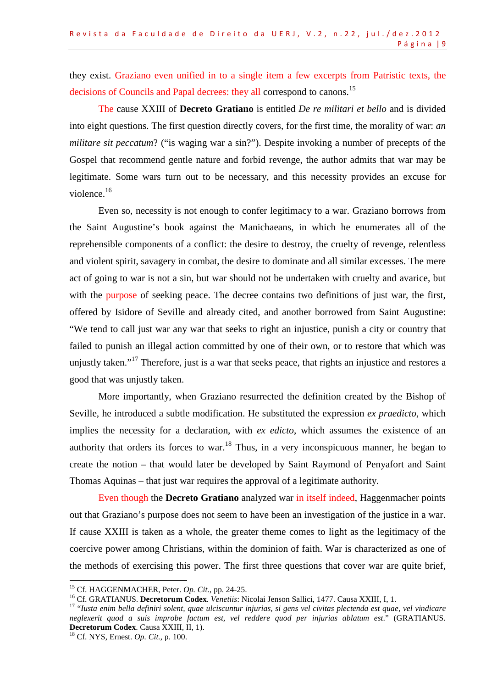they exist. Graziano even unified in to a single item a few excerpts from Patristic texts, the decisions of Councils and Papal decrees: they all correspond to canons.<sup>15</sup>

The cause XXIII of **Decreto Gratiano** is entitled *De re militari et bello* and is divided into eight questions. The first question directly covers, for the first time, the morality of war: *an militare sit peccatum*? ("is waging war a sin?"). Despite invoking a number of precepts of the Gospel that recommend gentle nature and forbid revenge, the author admits that war may be legitimate. Some wars turn out to be necessary, and this necessity provides an excuse for violence.<sup>16</sup>

 Even so, necessity is not enough to confer legitimacy to a war. Graziano borrows from the Saint Augustine's book against the Manichaeans, in which he enumerates all of the reprehensible components of a conflict: the desire to destroy, the cruelty of revenge, relentless and violent spirit, savagery in combat, the desire to dominate and all similar excesses. The mere act of going to war is not a sin, but war should not be undertaken with cruelty and avarice, but with the purpose of seeking peace. The decree contains two definitions of just war, the first, offered by Isidore of Seville and already cited, and another borrowed from Saint Augustine: "We tend to call just war any war that seeks to right an injustice, punish a city or country that failed to punish an illegal action committed by one of their own, or to restore that which was unjustly taken."<sup>17</sup> Therefore, just is a war that seeks peace, that rights an injustice and restores a good that was unjustly taken.

 More importantly, when Graziano resurrected the definition created by the Bishop of Seville, he introduced a subtle modification. He substituted the expression *ex praedicto*, which implies the necessity for a declaration, with *ex edicto*, which assumes the existence of an authority that orders its forces to war.<sup>18</sup> Thus, in a very inconspicuous manner, he began to create the notion – that would later be developed by Saint Raymond of Penyafort and Saint Thomas Aquinas – that just war requires the approval of a legitimate authority.

Even though the **Decreto Gratiano** analyzed war in itself indeed, Haggenmacher points out that Graziano's purpose does not seem to have been an investigation of the justice in a war. If cause XXIII is taken as a whole, the greater theme comes to light as the legitimacy of the coercive power among Christians, within the dominion of faith. War is characterized as one of the methods of exercising this power. The first three questions that cover war are quite brief,

<sup>15</sup> Cf. HAGGENMACHER, Peter. *Op. Cit.*, pp. 24-25.

<sup>16</sup> Cf. GRATIANUS. **Decretorum Codex**. *Venetiis*: Nicolai Jenson Sallici, 1477. Causa XXIII, I, 1.

<sup>17</sup> "*Iusta enim bella definiri solent, quae ulciscuntur injurias, si gens vel civitas plectenda est quae, vel vindicare neglexerit quod a suis improbe factum est, vel reddere quod per injurias ablatum est*." (GRATIANUS. **Decretorum Codex**. Causa XXIII, II, 1).

<sup>18</sup> Cf. NYS, Ernest. *Op. Cit.*, p. 100.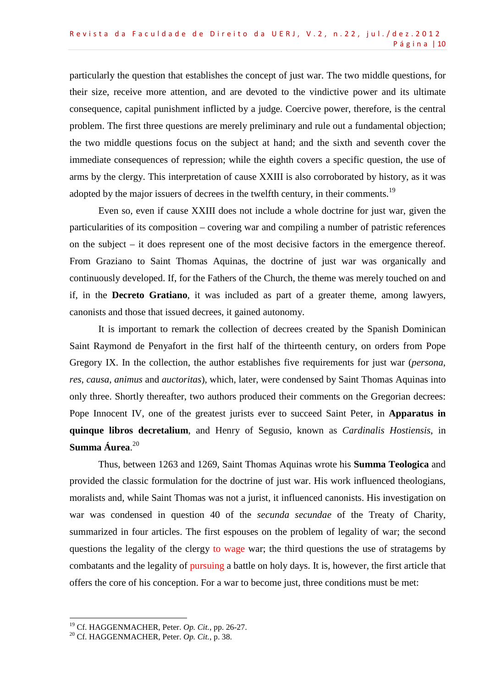particularly the question that establishes the concept of just war. The two middle questions, for their size, receive more attention, and are devoted to the vindictive power and its ultimate consequence, capital punishment inflicted by a judge. Coercive power, therefore, is the central problem. The first three questions are merely preliminary and rule out a fundamental objection; the two middle questions focus on the subject at hand; and the sixth and seventh cover the immediate consequences of repression; while the eighth covers a specific question, the use of arms by the clergy. This interpretation of cause XXIII is also corroborated by history, as it was adopted by the major issuers of decrees in the twelfth century, in their comments.<sup>19</sup>

 Even so, even if cause XXIII does not include a whole doctrine for just war, given the particularities of its composition – covering war and compiling a number of patristic references on the subject – it does represent one of the most decisive factors in the emergence thereof. From Graziano to Saint Thomas Aquinas, the doctrine of just war was organically and continuously developed. If, for the Fathers of the Church, the theme was merely touched on and if, in the **Decreto Gratiano**, it was included as part of a greater theme, among lawyers, canonists and those that issued decrees, it gained autonomy.

 It is important to remark the collection of decrees created by the Spanish Dominican Saint Raymond de Penyafort in the first half of the thirteenth century, on orders from Pope Gregory IX. In the collection, the author establishes five requirements for just war (*persona*, *res*, *causa*, *animus* and *auctoritas*), which, later, were condensed by Saint Thomas Aquinas into only three. Shortly thereafter, two authors produced their comments on the Gregorian decrees: Pope Innocent IV, one of the greatest jurists ever to succeed Saint Peter, in **Apparatus in quinque libros decretalium**, and Henry of Segusio, known as *Cardinalis Hostiensis*, in **Summa Áurea**. 20

 Thus, between 1263 and 1269, Saint Thomas Aquinas wrote his **Summa Teologica** and provided the classic formulation for the doctrine of just war. His work influenced theologians, moralists and, while Saint Thomas was not a jurist, it influenced canonists. His investigation on war was condensed in question 40 of the *secunda secundae* of the Treaty of Charity, summarized in four articles. The first espouses on the problem of legality of war; the second questions the legality of the clergy to wage war; the third questions the use of stratagems by combatants and the legality of pursuing a battle on holy days. It is, however, the first article that offers the core of his conception. For a war to become just, three conditions must be met:

<sup>19</sup> Cf. HAGGENMACHER, Peter. *Op. Cit.*, pp. 26-27.

<sup>20</sup> Cf. HAGGENMACHER, Peter. *Op. Cit.*, p. 38.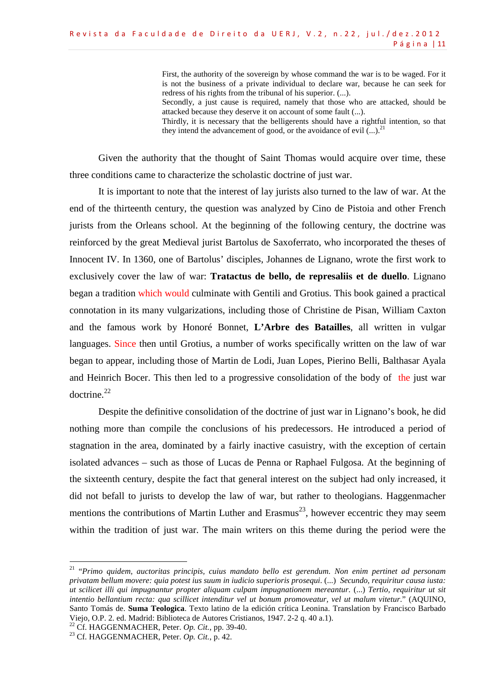First, the authority of the sovereign by whose command the war is to be waged. For it is not the business of a private individual to declare war, because he can seek for redress of his rights from the tribunal of his superior. (...).

Secondly, a just cause is required, namely that those who are attacked, should be attacked because they deserve it on account of some fault (...).

Thirdly, it is necessary that the belligerents should have a rightful intention, so that they intend the advancement of good, or the avoidance of evil  $(...).^{21}$ 

 Given the authority that the thought of Saint Thomas would acquire over time, these three conditions came to characterize the scholastic doctrine of just war.

 It is important to note that the interest of lay jurists also turned to the law of war. At the end of the thirteenth century, the question was analyzed by Cino de Pistoia and other French jurists from the Orleans school. At the beginning of the following century, the doctrine was reinforced by the great Medieval jurist Bartolus de Saxoferrato, who incorporated the theses of Innocent IV. In 1360, one of Bartolus' disciples, Johannes de Lignano, wrote the first work to exclusively cover the law of war: **Tratactus de bello, de represaliis et de duello**. Lignano began a tradition which would culminate with Gentili and Grotius. This book gained a practical connotation in its many vulgarizations, including those of Christine de Pisan, William Caxton and the famous work by Honoré Bonnet, **L'Arbre des Batailles**, all written in vulgar languages. Since then until Grotius, a number of works specifically written on the law of war began to appear, including those of Martin de Lodi, Juan Lopes, Pierino Belli, Balthasar Ayala and Heinrich Bocer. This then led to a progressive consolidation of the body of the just war  $d$ octrine.<sup>22</sup>

 Despite the definitive consolidation of the doctrine of just war in Lignano's book, he did nothing more than compile the conclusions of his predecessors. He introduced a period of stagnation in the area, dominated by a fairly inactive casuistry, with the exception of certain isolated advances – such as those of Lucas de Penna or Raphael Fulgosa. At the beginning of the sixteenth century, despite the fact that general interest on the subject had only increased, it did not befall to jurists to develop the law of war, but rather to theologians. Haggenmacher mentions the contributions of Martin Luther and Erasmus<sup>23</sup>, however eccentric they may seem within the tradition of just war. The main writers on this theme during the period were the

<sup>21</sup> "*Primo quidem, auctoritas principis, cuius mandato bello est gerendum. Non enim pertinet ad personam privatam bellum movere: quia potest ius suum in iudicio superioris prosequi*. (...) *Secundo, requiritur causa iusta: ut scilicet illi qui impugnantur propter aliquam culpam impugnationem mereantur*. (...) *Tertio, requiritur ut sit intentio bellantium recta: qua scillicet intenditur vel ut bonum promoveatur, vel ut malum vitetur*." (AQUINO, Santo Tomás de. **Suma Teologica**. Texto latino de la edición crítica Leonina. Translation by Francisco Barbado Viejo, O.P. 2. ed. Madrid: Biblioteca de Autores Cristianos, 1947. 2-2 q. 40 a.1).

<sup>22</sup> Cf. HAGGENMACHER, Peter. *Op. Cit.*, pp. 39-40.

<sup>23</sup> Cf. HAGGENMACHER, Peter. *Op. Cit.*, p. 42.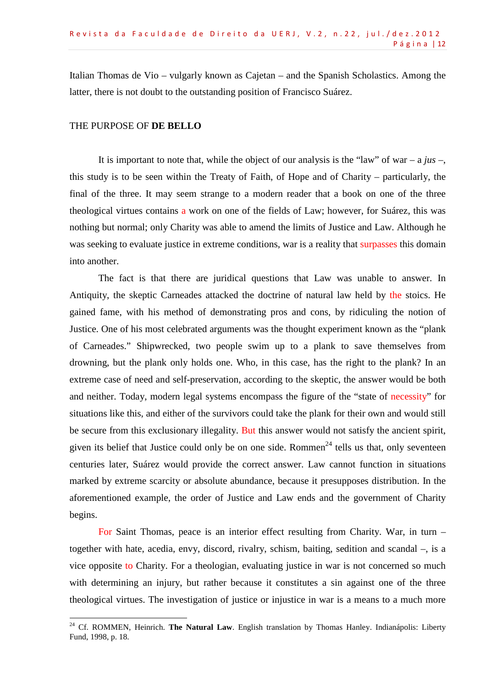Italian Thomas de Vio – vulgarly known as Cajetan – and the Spanish Scholastics. Among the latter, there is not doubt to the outstanding position of Francisco Suárez.

# THE PURPOSE OF **DE BELLO**

 It is important to note that, while the object of our analysis is the "law" of war – a *jus* –, this study is to be seen within the Treaty of Faith, of Hope and of Charity – particularly, the final of the three. It may seem strange to a modern reader that a book on one of the three theological virtues contains a work on one of the fields of Law; however, for Suárez, this was nothing but normal; only Charity was able to amend the limits of Justice and Law. Although he was seeking to evaluate justice in extreme conditions, war is a reality that surpasses this domain into another.

 The fact is that there are juridical questions that Law was unable to answer. In Antiquity, the skeptic Carneades attacked the doctrine of natural law held by the stoics. He gained fame, with his method of demonstrating pros and cons, by ridiculing the notion of Justice. One of his most celebrated arguments was the thought experiment known as the "plank of Carneades." Shipwrecked, two people swim up to a plank to save themselves from drowning, but the plank only holds one. Who, in this case, has the right to the plank? In an extreme case of need and self-preservation, according to the skeptic, the answer would be both and neither. Today, modern legal systems encompass the figure of the "state of necessity" for situations like this, and either of the survivors could take the plank for their own and would still be secure from this exclusionary illegality. But this answer would not satisfy the ancient spirit, given its belief that Justice could only be on one side. Rommen<sup>24</sup> tells us that, only seventeen centuries later, Suárez would provide the correct answer. Law cannot function in situations marked by extreme scarcity or absolute abundance, because it presupposes distribution. In the aforementioned example, the order of Justice and Law ends and the government of Charity begins.

For Saint Thomas, peace is an interior effect resulting from Charity. War, in turn – together with hate, acedia, envy, discord, rivalry, schism, baiting, sedition and scandal –, is a vice opposite to Charity. For a theologian, evaluating justice in war is not concerned so much with determining an injury, but rather because it constitutes a sin against one of the three theological virtues. The investigation of justice or injustice in war is a means to a much more

 $\overline{a}$ <sup>24</sup> Cf. ROMMEN, Heinrich. The Natural Law. English translation by Thomas Hanley. Indianápolis: Liberty Fund, 1998, p. 18.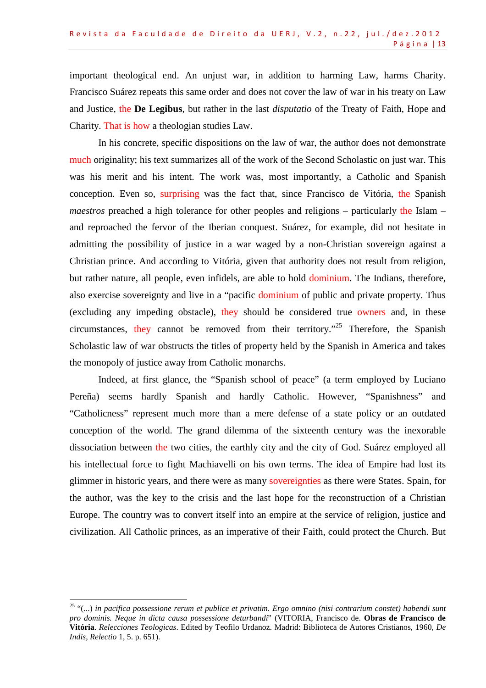important theological end. An unjust war, in addition to harming Law, harms Charity. Francisco Suárez repeats this same order and does not cover the law of war in his treaty on Law and Justice, the **De Legibus**, but rather in the last *disputatio* of the Treaty of Faith, Hope and Charity. That is how a theologian studies Law.

 In his concrete, specific dispositions on the law of war, the author does not demonstrate much originality; his text summarizes all of the work of the Second Scholastic on just war. This was his merit and his intent. The work was, most importantly, a Catholic and Spanish conception. Even so, surprising was the fact that, since Francisco de Vitória, the Spanish *maestros* preached a high tolerance for other peoples and religions – particularly the Islam – and reproached the fervor of the Iberian conquest. Suárez, for example, did not hesitate in admitting the possibility of justice in a war waged by a non-Christian sovereign against a Christian prince. And according to Vitória, given that authority does not result from religion, but rather nature, all people, even infidels, are able to hold dominium. The Indians, therefore, also exercise sovereignty and live in a "pacific dominium of public and private property. Thus (excluding any impeding obstacle), they should be considered true owners and, in these circumstances, they cannot be removed from their territory."<sup>25</sup> Therefore, the Spanish Scholastic law of war obstructs the titles of property held by the Spanish in America and takes the monopoly of justice away from Catholic monarchs.

 Indeed, at first glance, the "Spanish school of peace" (a term employed by Luciano Pereña) seems hardly Spanish and hardly Catholic. However, "Spanishness" and "Catholicness" represent much more than a mere defense of a state policy or an outdated conception of the world. The grand dilemma of the sixteenth century was the inexorable dissociation between the two cities, the earthly city and the city of God. Suárez employed all his intellectual force to fight Machiavelli on his own terms. The idea of Empire had lost its glimmer in historic years, and there were as many sovereignties as there were States. Spain, for the author, was the key to the crisis and the last hope for the reconstruction of a Christian Europe. The country was to convert itself into an empire at the service of religion, justice and civilization. All Catholic princes, as an imperative of their Faith, could protect the Church. But

<sup>25</sup> "(...) *in pacifica possessione rerum et publice et privatim. Ergo omnino (nisi contrarium constet) habendi sunt pro dominis. Neque in dicta causa possessione deturbandi*" (VITORIA, Francisco de. **Obras de Francisco de Vitória**. *Relecciones Teologicas*. Edited by Teofilo Urdanoz. Madrid: Biblioteca de Autores Cristianos, 1960, *De Indis*, *Relectio* 1, 5. p. 651).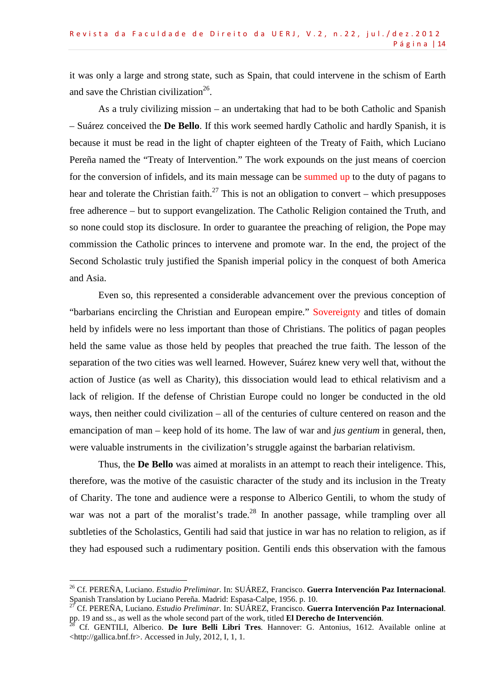it was only a large and strong state, such as Spain, that could intervene in the schism of Earth and save the Christian civilization<sup>26</sup>.

 As a truly civilizing mission – an undertaking that had to be both Catholic and Spanish – Suárez conceived the **De Bello**. If this work seemed hardly Catholic and hardly Spanish, it is because it must be read in the light of chapter eighteen of the Treaty of Faith, which Luciano Pereña named the "Treaty of Intervention." The work expounds on the just means of coercion for the conversion of infidels, and its main message can be summed up to the duty of pagans to hear and tolerate the Christian faith.<sup>27</sup> This is not an obligation to convert – which presupposes free adherence – but to support evangelization. The Catholic Religion contained the Truth, and so none could stop its disclosure. In order to guarantee the preaching of religion, the Pope may commission the Catholic princes to intervene and promote war. In the end, the project of the Second Scholastic truly justified the Spanish imperial policy in the conquest of both America and Asia.

 Even so, this represented a considerable advancement over the previous conception of "barbarians encircling the Christian and European empire." Sovereignty and titles of domain held by infidels were no less important than those of Christians. The politics of pagan peoples held the same value as those held by peoples that preached the true faith. The lesson of the separation of the two cities was well learned. However, Suárez knew very well that, without the action of Justice (as well as Charity), this dissociation would lead to ethical relativism and a lack of religion. If the defense of Christian Europe could no longer be conducted in the old ways, then neither could civilization – all of the centuries of culture centered on reason and the emancipation of man – keep hold of its home. The law of war and *jus gentium* in general, then, were valuable instruments in the civilization's struggle against the barbarian relativism.

 Thus, the **De Bello** was aimed at moralists in an attempt to reach their inteligence. This, therefore, was the motive of the casuistic character of the study and its inclusion in the Treaty of Charity. The tone and audience were a response to Alberico Gentili, to whom the study of war was not a part of the moralist's trade.<sup>28</sup> In another passage, while trampling over all subtleties of the Scholastics, Gentili had said that justice in war has no relation to religion, as if they had espoused such a rudimentary position. Gentili ends this observation with the famous

<sup>26</sup> Cf. PEREÑA, Luciano. *Estudio Preliminar*. In: SUÁREZ, Francisco. **Guerra Intervención Paz Internacional**. Spanish Translation by Luciano Pereña. Madrid: Espasa-Calpe, 1956. p. 10.<br><sup>27</sup> Cf. PEREÑA. J.

<sup>27</sup> Cf. PEREÑA, Luciano. *Estudio Preliminar*. In: SUÁREZ, Francisco. **Guerra Intervención Paz Internacional**. pp. 19 and ss., as well as the whole second part of the work, titled **El Derecho de Intervención**.

<sup>28</sup> Cf. GENTILI, Alberico. **De Iure Belli Libri Tres**. Hannover: G. Antonius, 1612. Available online at <http://gallica.bnf.fr>. Accessed in July, 2012, I, 1, 1.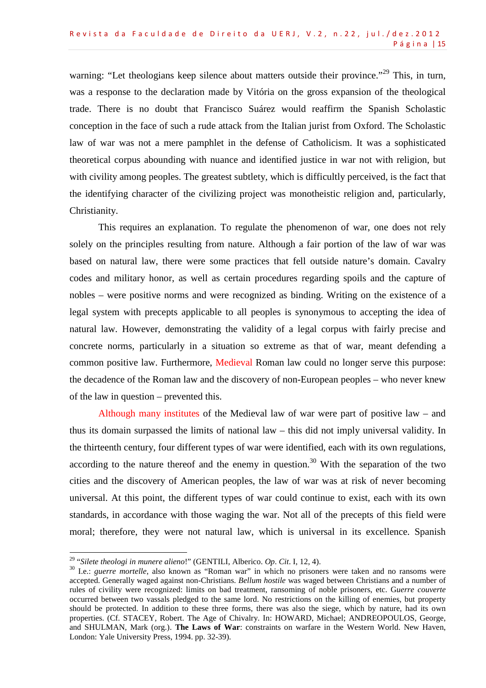warning: "Let theologians keep silence about matters outside their province."<sup>29</sup> This, in turn, was a response to the declaration made by Vitória on the gross expansion of the theological trade. There is no doubt that Francisco Suárez would reaffirm the Spanish Scholastic conception in the face of such a rude attack from the Italian jurist from Oxford. The Scholastic law of war was not a mere pamphlet in the defense of Catholicism. It was a sophisticated theoretical corpus abounding with nuance and identified justice in war not with religion, but with civility among peoples. The greatest subtlety, which is difficultly perceived, is the fact that the identifying character of the civilizing project was monotheistic religion and, particularly, Christianity.

 This requires an explanation. To regulate the phenomenon of war, one does not rely solely on the principles resulting from nature. Although a fair portion of the law of war was based on natural law, there were some practices that fell outside nature's domain. Cavalry codes and military honor, as well as certain procedures regarding spoils and the capture of nobles – were positive norms and were recognized as binding. Writing on the existence of a legal system with precepts applicable to all peoples is synonymous to accepting the idea of natural law. However, demonstrating the validity of a legal corpus with fairly precise and concrete norms, particularly in a situation so extreme as that of war, meant defending a common positive law. Furthermore, Medieval Roman law could no longer serve this purpose: the decadence of the Roman law and the discovery of non-European peoples – who never knew of the law in question – prevented this.

Although many institutes of the Medieval law of war were part of positive law – and thus its domain surpassed the limits of national law – this did not imply universal validity. In the thirteenth century, four different types of war were identified, each with its own regulations, according to the nature thereof and the enemy in question.<sup>30</sup> With the separation of the two cities and the discovery of American peoples, the law of war was at risk of never becoming universal. At this point, the different types of war could continue to exist, each with its own standards, in accordance with those waging the war. Not all of the precepts of this field were moral; therefore, they were not natural law, which is universal in its excellence. Spanish

<sup>29</sup> "*Silete theologi in munere alieno*!" (GENTILI, Alberico. *Op*. *Cit*. I, 12, 4).

<sup>30</sup> I.e.: *guerre mortelle*, also known as "Roman war" in which no prisoners were taken and no ransoms were accepted. Generally waged against non-Christians. *Bellum hostile* was waged between Christians and a number of rules of civility were recognized: limits on bad treatment, ransoming of noble prisoners, etc. G*uerre couverte* occurred between two vassals pledged to the same lord. No restrictions on the killing of enemies, but property should be protected. In addition to these three forms, there was also the siege, which by nature, had its own properties. (Cf. STACEY, Robert. The Age of Chivalry. In: HOWARD, Michael; ANDREOPOULOS, George, and SHULMAN, Mark (org.). **The Laws of War**: constraints on warfare in the Western World. New Haven, London: Yale University Press, 1994. pp. 32-39).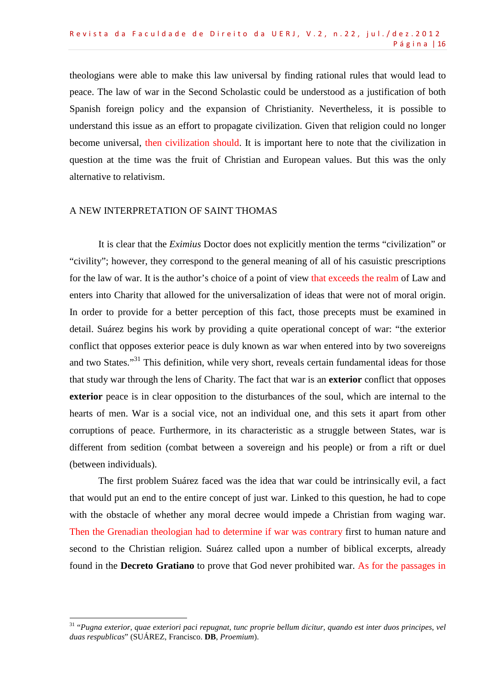theologians were able to make this law universal by finding rational rules that would lead to peace. The law of war in the Second Scholastic could be understood as a justification of both Spanish foreign policy and the expansion of Christianity. Nevertheless, it is possible to understand this issue as an effort to propagate civilization. Given that religion could no longer become universal, then civilization should. It is important here to note that the civilization in question at the time was the fruit of Christian and European values. But this was the only alternative to relativism.

# A NEW INTERPRETATION OF SAINT THOMAS

 $\overline{a}$ 

 It is clear that the *Eximius* Doctor does not explicitly mention the terms "civilization" or "civility"; however, they correspond to the general meaning of all of his casuistic prescriptions for the law of war. It is the author's choice of a point of view that exceeds the realm of Law and enters into Charity that allowed for the universalization of ideas that were not of moral origin. In order to provide for a better perception of this fact, those precepts must be examined in detail. Suárez begins his work by providing a quite operational concept of war: "the exterior conflict that opposes exterior peace is duly known as war when entered into by two sovereigns and two States."<sup>31</sup> This definition, while very short, reveals certain fundamental ideas for those that study war through the lens of Charity. The fact that war is an **exterior** conflict that opposes **exterior** peace is in clear opposition to the disturbances of the soul, which are internal to the hearts of men. War is a social vice, not an individual one, and this sets it apart from other corruptions of peace. Furthermore, in its characteristic as a struggle between States, war is different from sedition (combat between a sovereign and his people) or from a rift or duel (between individuals).

 The first problem Suárez faced was the idea that war could be intrinsically evil, a fact that would put an end to the entire concept of just war. Linked to this question, he had to cope with the obstacle of whether any moral decree would impede a Christian from waging war. Then the Grenadian theologian had to determine if war was contrary first to human nature and second to the Christian religion. Suárez called upon a number of biblical excerpts, already found in the **Decreto Gratiano** to prove that God never prohibited war. As for the passages in

<sup>31</sup> "*Pugna exterior, quae exteriori paci repugnat, tunc proprie bellum dicitur, quando est inter duos principes, vel duas respublicas*" (SUÁREZ, Francisco. **DB**, *Proemium*).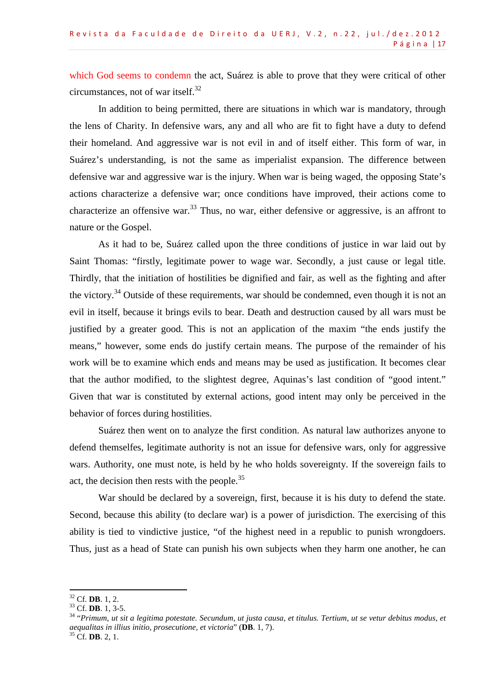which God seems to condemn the act, Suárez is able to prove that they were critical of other circumstances, not of war itself.<sup>32</sup>

 In addition to being permitted, there are situations in which war is mandatory, through the lens of Charity. In defensive wars, any and all who are fit to fight have a duty to defend their homeland. And aggressive war is not evil in and of itself either. This form of war, in Suárez's understanding, is not the same as imperialist expansion. The difference between defensive war and aggressive war is the injury. When war is being waged, the opposing State's actions characterize a defensive war; once conditions have improved, their actions come to characterize an offensive war.<sup>33</sup> Thus, no war, either defensive or aggressive, is an affront to nature or the Gospel.

 As it had to be, Suárez called upon the three conditions of justice in war laid out by Saint Thomas: "firstly, legitimate power to wage war. Secondly, a just cause or legal title. Thirdly, that the initiation of hostilities be dignified and fair, as well as the fighting and after the victory.<sup>34</sup> Outside of these requirements, war should be condemned, even though it is not an evil in itself, because it brings evils to bear. Death and destruction caused by all wars must be justified by a greater good. This is not an application of the maxim "the ends justify the means," however, some ends do justify certain means. The purpose of the remainder of his work will be to examine which ends and means may be used as justification. It becomes clear that the author modified, to the slightest degree, Aquinas's last condition of "good intent." Given that war is constituted by external actions, good intent may only be perceived in the behavior of forces during hostilities.

 Suárez then went on to analyze the first condition. As natural law authorizes anyone to defend themselfes, legitimate authority is not an issue for defensive wars, only for aggressive wars. Authority, one must note, is held by he who holds sovereignty. If the sovereign fails to act, the decision then rests with the people.<sup>35</sup>

 War should be declared by a sovereign, first, because it is his duty to defend the state. Second, because this ability (to declare war) is a power of jurisdiction. The exercising of this ability is tied to vindictive justice, "of the highest need in a republic to punish wrongdoers. Thus, just as a head of State can punish his own subjects when they harm one another, he can

 $\overline{a}$ 

<sup>35</sup> Cf. **DB**. 2, 1.

<sup>32</sup> Cf. **DB**. 1, 2.

<sup>33</sup> Cf. **DB**. 1, 3-5.

<sup>34</sup> "*Primum, ut sit a legitima potestate. Secundum, ut justa causa, et titulus. Tertium, ut se vetur debitus modus, et aequalitas in illius initio, prosecutione, et victoria*" (**DB**. 1, 7).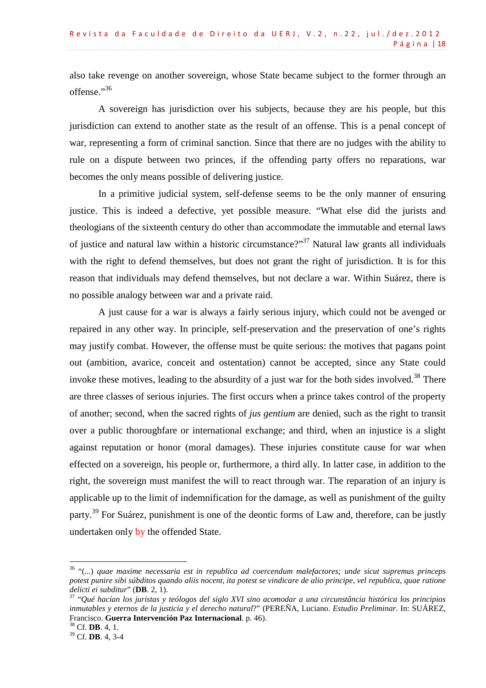also take revenge on another sovereign, whose State became subject to the former through an offense."<sup>36</sup>

 A sovereign has jurisdiction over his subjects, because they are his people, but this jurisdiction can extend to another state as the result of an offense. This is a penal concept of war, representing a form of criminal sanction. Since that there are no judges with the ability to rule on a dispute between two princes, if the offending party offers no reparations, war becomes the only means possible of delivering justice.

 In a primitive judicial system, self-defense seems to be the only manner of ensuring justice. This is indeed a defective, yet possible measure. "What else did the jurists and theologians of the sixteenth century do other than accommodate the immutable and eternal laws of justice and natural law within a historic circumstance?"<sup>37</sup> Natural law grants all individuals with the right to defend themselves, but does not grant the right of jurisdiction. It is for this reason that individuals may defend themselves, but not declare a war. Within Suárez, there is no possible analogy between war and a private raid.

 A just cause for a war is always a fairly serious injury, which could not be avenged or repaired in any other way. In principle, self-preservation and the preservation of one's rights may justify combat. However, the offense must be quite serious: the motives that pagans point out (ambition, avarice, conceit and ostentation) cannot be accepted, since any State could invoke these motives, leading to the absurdity of a just war for the both sides involved.<sup>38</sup> There are three classes of serious injuries. The first occurs when a prince takes control of the property of another; second, when the sacred rights of *jus gentium* are denied, such as the right to transit over a public thoroughfare or international exchange; and third, when an injustice is a slight against reputation or honor (moral damages). These injuries constitute cause for war when effected on a sovereign, his people or, furthermore, a third ally. In latter case, in addition to the right, the sovereign must manifest the will to react through war. The reparation of an injury is applicable up to the limit of indemnification for the damage, as well as punishment of the guilty party.<sup>39</sup> For Suárez, punishment is one of the deontic forms of Law and, therefore, can be justly undertaken only by the offended State.

<sup>36</sup> "(...) *quae maxime necessaria est in republica ad coercendum malefactores; unde sicut supremus princeps potest punire sibi súbditos quando aliis nocent, ita potest se vindicare de alio principe, vel republica, quae ratione delicti ei subditur*" (**DB**. 2, 1).

<sup>37</sup> "*Qué hacían los juristas y teólogos del siglo XVI sino acomodar a una circunstância histórica los principios inmutables y eternos de la justicia y el derecho natural*?" (PEREÑA, Luciano. *Estudio Preliminar*. In: SUÁREZ, Francisco. **Guerra Intervención Paz Internacional**. p. 46).

<sup>38</sup> Cf. **DB**. 4, 1.

<sup>39</sup> Cf. **DB**. 4, 3-4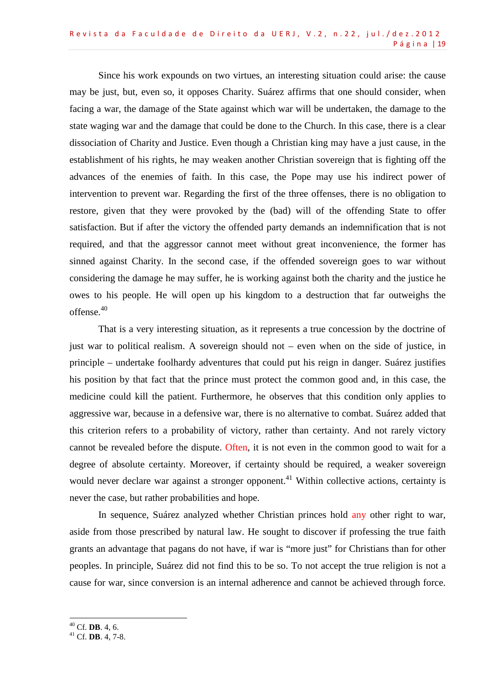Since his work expounds on two virtues, an interesting situation could arise: the cause may be just, but, even so, it opposes Charity. Suárez affirms that one should consider, when facing a war, the damage of the State against which war will be undertaken, the damage to the state waging war and the damage that could be done to the Church. In this case, there is a clear dissociation of Charity and Justice. Even though a Christian king may have a just cause, in the establishment of his rights, he may weaken another Christian sovereign that is fighting off the advances of the enemies of faith. In this case, the Pope may use his indirect power of intervention to prevent war. Regarding the first of the three offenses, there is no obligation to restore, given that they were provoked by the (bad) will of the offending State to offer satisfaction. But if after the victory the offended party demands an indemnification that is not required, and that the aggressor cannot meet without great inconvenience, the former has sinned against Charity. In the second case, if the offended sovereign goes to war without considering the damage he may suffer, he is working against both the charity and the justice he owes to his people. He will open up his kingdom to a destruction that far outweighs the offense.<sup>40</sup>

 That is a very interesting situation, as it represents a true concession by the doctrine of just war to political realism. A sovereign should not – even when on the side of justice, in principle – undertake foolhardy adventures that could put his reign in danger. Suárez justifies his position by that fact that the prince must protect the common good and, in this case, the medicine could kill the patient. Furthermore, he observes that this condition only applies to aggressive war, because in a defensive war, there is no alternative to combat. Suárez added that this criterion refers to a probability of victory, rather than certainty. And not rarely victory cannot be revealed before the dispute. Often, it is not even in the common good to wait for a degree of absolute certainty. Moreover, if certainty should be required, a weaker sovereign would never declare war against a stronger opponent.<sup>41</sup> Within collective actions, certainty is never the case, but rather probabilities and hope.

 In sequence, Suárez analyzed whether Christian princes hold any other right to war, aside from those prescribed by natural law. He sought to discover if professing the true faith grants an advantage that pagans do not have, if war is "more just" for Christians than for other peoples. In principle, Suárez did not find this to be so. To not accept the true religion is not a cause for war, since conversion is an internal adherence and cannot be achieved through force.

 $\overline{a}$ <sup>40</sup> Cf. **DB**. 4, 6.

<sup>41</sup> Cf. **DB**. 4, 7-8.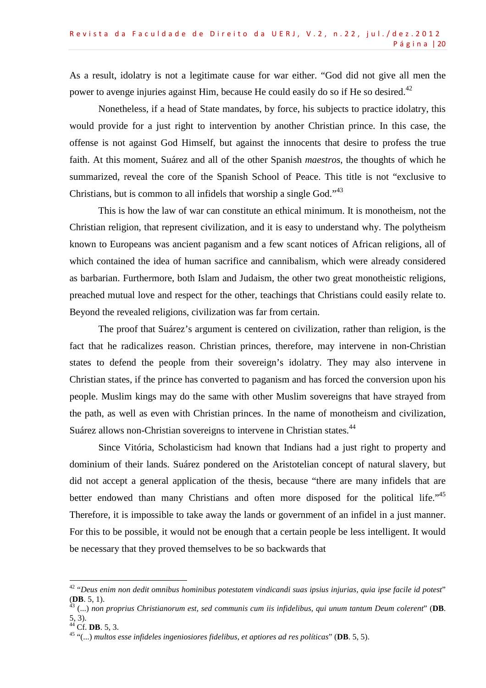As a result, idolatry is not a legitimate cause for war either. "God did not give all men the power to avenge injuries against Him, because He could easily do so if He so desired.<sup>42</sup>

 Nonetheless, if a head of State mandates, by force, his subjects to practice idolatry, this would provide for a just right to intervention by another Christian prince. In this case, the offense is not against God Himself, but against the innocents that desire to profess the true faith. At this moment, Suárez and all of the other Spanish *maestros*, the thoughts of which he summarized, reveal the core of the Spanish School of Peace. This title is not "exclusive to Christians, but is common to all infidels that worship a single God."<sup>43</sup>

 This is how the law of war can constitute an ethical minimum. It is monotheism, not the Christian religion, that represent civilization, and it is easy to understand why. The polytheism known to Europeans was ancient paganism and a few scant notices of African religions, all of which contained the idea of human sacrifice and cannibalism, which were already considered as barbarian. Furthermore, both Islam and Judaism, the other two great monotheistic religions, preached mutual love and respect for the other, teachings that Christians could easily relate to. Beyond the revealed religions, civilization was far from certain.

 The proof that Suárez's argument is centered on civilization, rather than religion, is the fact that he radicalizes reason. Christian princes, therefore, may intervene in non-Christian states to defend the people from their sovereign's idolatry. They may also intervene in Christian states, if the prince has converted to paganism and has forced the conversion upon his people. Muslim kings may do the same with other Muslim sovereigns that have strayed from the path, as well as even with Christian princes. In the name of monotheism and civilization, Suárez allows non-Christian sovereigns to intervene in Christian states.<sup>44</sup>

 Since Vitória, Scholasticism had known that Indians had a just right to property and dominium of their lands. Suárez pondered on the Aristotelian concept of natural slavery, but did not accept a general application of the thesis, because "there are many infidels that are better endowed than many Christians and often more disposed for the political life."<sup>45</sup> Therefore, it is impossible to take away the lands or government of an infidel in a just manner. For this to be possible, it would not be enough that a certain people be less intelligent. It would be necessary that they proved themselves to be so backwards that

<sup>44</sup> Cf. **DB**. 5, 3.

<sup>42</sup> "*Deus enim non dedit omnibus hominibus potestatem vindicandi suas ipsius injurias, quia ipse facile id potest*" (**DB**. 5, 1).

<sup>43</sup> (...) *non proprius Christianorum est, sed communis cum iis infidelibus, qui unum tantum Deum colerent*" (**DB**. 5, 3).

<sup>45</sup> "(...) *multos esse infideles ingeniosiores fidelibus, et aptiores ad res políticas*" (**DB**. 5, 5).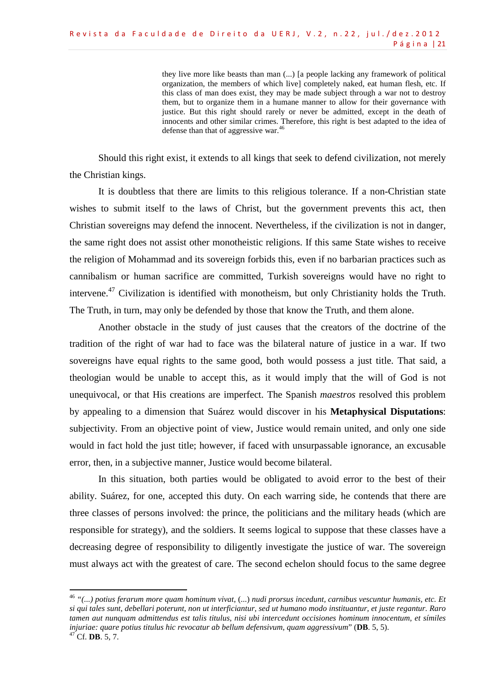they live more like beasts than man (...) [a people lacking any framework of political organization, the members of which live] completely naked, eat human flesh, etc. If this class of man does exist, they may be made subject through a war not to destroy them, but to organize them in a humane manner to allow for their governance with justice. But this right should rarely or never be admitted, except in the death of innocents and other similar crimes. Therefore, this right is best adapted to the idea of defense than that of aggressive war.<sup>46</sup>

 Should this right exist, it extends to all kings that seek to defend civilization, not merely the Christian kings.

 It is doubtless that there are limits to this religious tolerance. If a non-Christian state wishes to submit itself to the laws of Christ, but the government prevents this act, then Christian sovereigns may defend the innocent. Nevertheless, if the civilization is not in danger, the same right does not assist other monotheistic religions. If this same State wishes to receive the religion of Mohammad and its sovereign forbids this, even if no barbarian practices such as cannibalism or human sacrifice are committed, Turkish sovereigns would have no right to intervene.<sup>47</sup> Civilization is identified with monotheism, but only Christianity holds the Truth. The Truth, in turn, may only be defended by those that know the Truth, and them alone.

Another obstacle in the study of just causes that the creators of the doctrine of the tradition of the right of war had to face was the bilateral nature of justice in a war. If two sovereigns have equal rights to the same good, both would possess a just title. That said, a theologian would be unable to accept this, as it would imply that the will of God is not unequivocal, or that His creations are imperfect. The Spanish *maestros* resolved this problem by appealing to a dimension that Suárez would discover in his **Metaphysical Disputations**: subjectivity. From an objective point of view, Justice would remain united, and only one side would in fact hold the just title; however, if faced with unsurpassable ignorance, an excusable error, then, in a subjective manner, Justice would become bilateral.

 In this situation, both parties would be obligated to avoid error to the best of their ability. Suárez, for one, accepted this duty. On each warring side, he contends that there are three classes of persons involved: the prince, the politicians and the military heads (which are responsible for strategy), and the soldiers. It seems logical to suppose that these classes have a decreasing degree of responsibility to diligently investigate the justice of war. The sovereign must always act with the greatest of care. The second echelon should focus to the same degree

<sup>46</sup> *"(...) potius ferarum more quam hominum vivat*, (...) *nudi prorsus incedunt, carnibus vescuntur humanis, etc. Et si qui tales sunt, debellari poterunt, non ut interficiantur, sed ut humano modo instituantur, et juste regantur. Raro tamen aut nunquam admittendus est talis titulus, nisi ubi intercedunt occisiones hominum innocentum, et símiles injuriae: quare potius titulus hic revocatur ab bellum defensivum, quam aggressivum*" (**DB**. 5, 5).

<sup>47</sup> Cf. **DB**. 5, 7.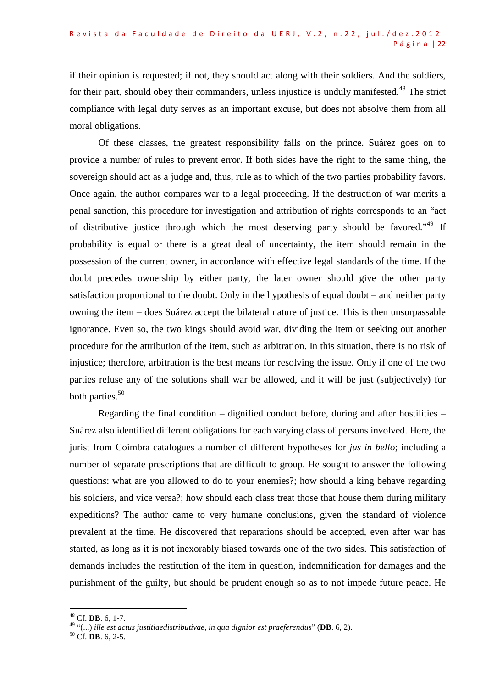if their opinion is requested; if not, they should act along with their soldiers. And the soldiers, for their part, should obey their commanders, unless injustice is unduly manifested.<sup>48</sup> The strict compliance with legal duty serves as an important excuse, but does not absolve them from all moral obligations.

 Of these classes, the greatest responsibility falls on the prince. Suárez goes on to provide a number of rules to prevent error. If both sides have the right to the same thing, the sovereign should act as a judge and, thus, rule as to which of the two parties probability favors. Once again, the author compares war to a legal proceeding. If the destruction of war merits a penal sanction, this procedure for investigation and attribution of rights corresponds to an "act of distributive justice through which the most deserving party should be favored."<sup>49</sup> If probability is equal or there is a great deal of uncertainty, the item should remain in the possession of the current owner, in accordance with effective legal standards of the time. If the doubt precedes ownership by either party, the later owner should give the other party satisfaction proportional to the doubt. Only in the hypothesis of equal doubt – and neither party owning the item – does Suárez accept the bilateral nature of justice. This is then unsurpassable ignorance. Even so, the two kings should avoid war, dividing the item or seeking out another procedure for the attribution of the item, such as arbitration. In this situation, there is no risk of injustice; therefore, arbitration is the best means for resolving the issue. Only if one of the two parties refuse any of the solutions shall war be allowed, and it will be just (subjectively) for both parties.<sup>50</sup>

 Regarding the final condition – dignified conduct before, during and after hostilities – Suárez also identified different obligations for each varying class of persons involved. Here, the jurist from Coimbra catalogues a number of different hypotheses for *jus in bello*; including a number of separate prescriptions that are difficult to group. He sought to answer the following questions: what are you allowed to do to your enemies?; how should a king behave regarding his soldiers, and vice versa?; how should each class treat those that house them during military expeditions? The author came to very humane conclusions, given the standard of violence prevalent at the time. He discovered that reparations should be accepted, even after war has started, as long as it is not inexorably biased towards one of the two sides. This satisfaction of demands includes the restitution of the item in question, indemnification for damages and the punishment of the guilty, but should be prudent enough so as to not impede future peace. He

<sup>48</sup> Cf. **DB**. 6, 1-7.

<sup>49</sup> "(...) *ille est actus justitiaedistributivae, in qua dignior est praeferendus*" (**DB**. 6, 2).

<sup>50</sup> Cf. **DB**. 6, 2-5.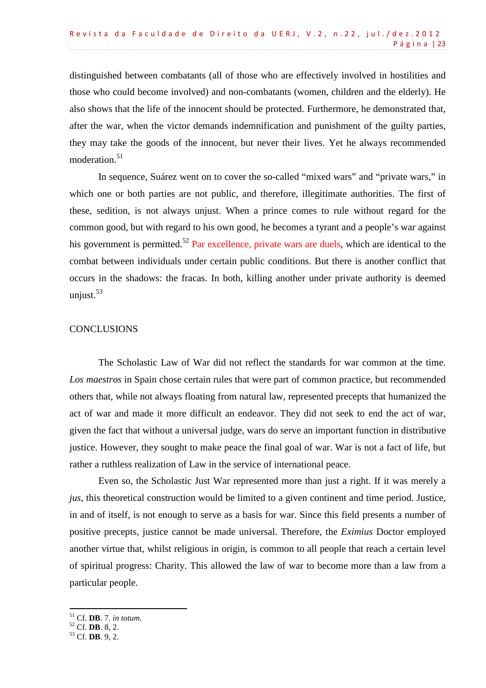distinguished between combatants (all of those who are effectively involved in hostilities and those who could become involved) and non-combatants (women, children and the elderly). He also shows that the life of the innocent should be protected. Furthermore, he demonstrated that, after the war, when the victor demands indemnification and punishment of the guilty parties, they may take the goods of the innocent, but never their lives. Yet he always recommended moderation. $51$ 

 In sequence, Suárez went on to cover the so-called "mixed wars" and "private wars," in which one or both parties are not public, and therefore, illegitimate authorities. The first of these, sedition, is not always unjust. When a prince comes to rule without regard for the common good, but with regard to his own good, he becomes a tyrant and a people's war against his government is permitted.<sup>52</sup> Par excellence, private wars are duels, which are identical to the combat between individuals under certain public conditions. But there is another conflict that occurs in the shadows: the fracas. In both, killing another under private authority is deemed unjust. $53$ 

# **CONCLUSIONS**

 The Scholastic Law of War did not reflect the standards for war common at the time. *Los maestros* in Spain chose certain rules that were part of common practice, but recommended others that, while not always floating from natural law, represented precepts that humanized the act of war and made it more difficult an endeavor. They did not seek to end the act of war, given the fact that without a universal judge, wars do serve an important function in distributive justice. However, they sought to make peace the final goal of war. War is not a fact of life, but rather a ruthless realization of Law in the service of international peace.

 Even so, the Scholastic Just War represented more than just a right. If it was merely a *jus*, this theoretical construction would be limited to a given continent and time period. Justice, in and of itself, is not enough to serve as a basis for war. Since this field presents a number of positive precepts, justice cannot be made universal. Therefore, the *Eximius* Doctor employed another virtue that, whilst religious in origin, is common to all people that reach a certain level of spiritual progress: Charity. This allowed the law of war to become more than a law from a particular people.

<sup>51</sup> Cf. **DB**. 7. *in totum*.

<sup>52</sup> Cf. **DB**. 8, 2.

<sup>53</sup> Cf. **DB**. 9, 2.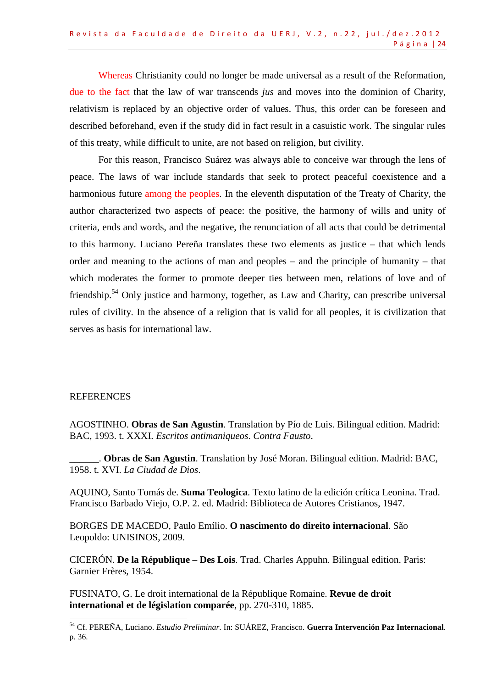Whereas Christianity could no longer be made universal as a result of the Reformation, due to the fact that the law of war transcends *jus* and moves into the dominion of Charity, relativism is replaced by an objective order of values. Thus, this order can be foreseen and described beforehand, even if the study did in fact result in a casuistic work. The singular rules of this treaty, while difficult to unite, are not based on religion, but civility.

 For this reason, Francisco Suárez was always able to conceive war through the lens of peace. The laws of war include standards that seek to protect peaceful coexistence and a harmonious future among the peoples. In the eleventh disputation of the Treaty of Charity, the author characterized two aspects of peace: the positive, the harmony of wills and unity of criteria, ends and words, and the negative, the renunciation of all acts that could be detrimental to this harmony. Luciano Pereña translates these two elements as justice – that which lends order and meaning to the actions of man and peoples – and the principle of humanity – that which moderates the former to promote deeper ties between men, relations of love and of friendship.<sup>54</sup> Only justice and harmony, together, as Law and Charity, can prescribe universal rules of civility. In the absence of a religion that is valid for all peoples, it is civilization that serves as basis for international law.

# **REFERENCES**

 $\overline{a}$ 

AGOSTINHO. **Obras de San Agustin**. Translation by Pío de Luis. Bilingual edition. Madrid: BAC, 1993. t. XXXI. *Escritos antimaniqueos*. *Contra Fausto*.

\_\_\_\_\_\_. **Obras de San Agustin**. Translation by José Moran. Bilingual edition. Madrid: BAC, 1958. t. XVI. *La Ciudad de Dios*.

AQUINO, Santo Tomás de. **Suma Teologica**. Texto latino de la edición crítica Leonina. Trad. Francisco Barbado Viejo, O.P. 2. ed. Madrid: Biblioteca de Autores Cristianos, 1947.

BORGES DE MACEDO, Paulo Emílio. **O nascimento do direito internacional**. São Leopoldo: UNISINOS, 2009.

CICERÓN. **De la République – Des Lois**. Trad. Charles Appuhn. Bilingual edition. Paris: Garnier Frères, 1954.

FUSINATO, G. Le droit international de la République Romaine. **Revue de droit international et de législation comparée**, pp. 270-310, 1885.

<sup>54</sup> Cf. PEREÑA, Luciano. *Estudio Preliminar*. In: SUÁREZ, Francisco. **Guerra Intervención Paz Internacional**. p. 36.